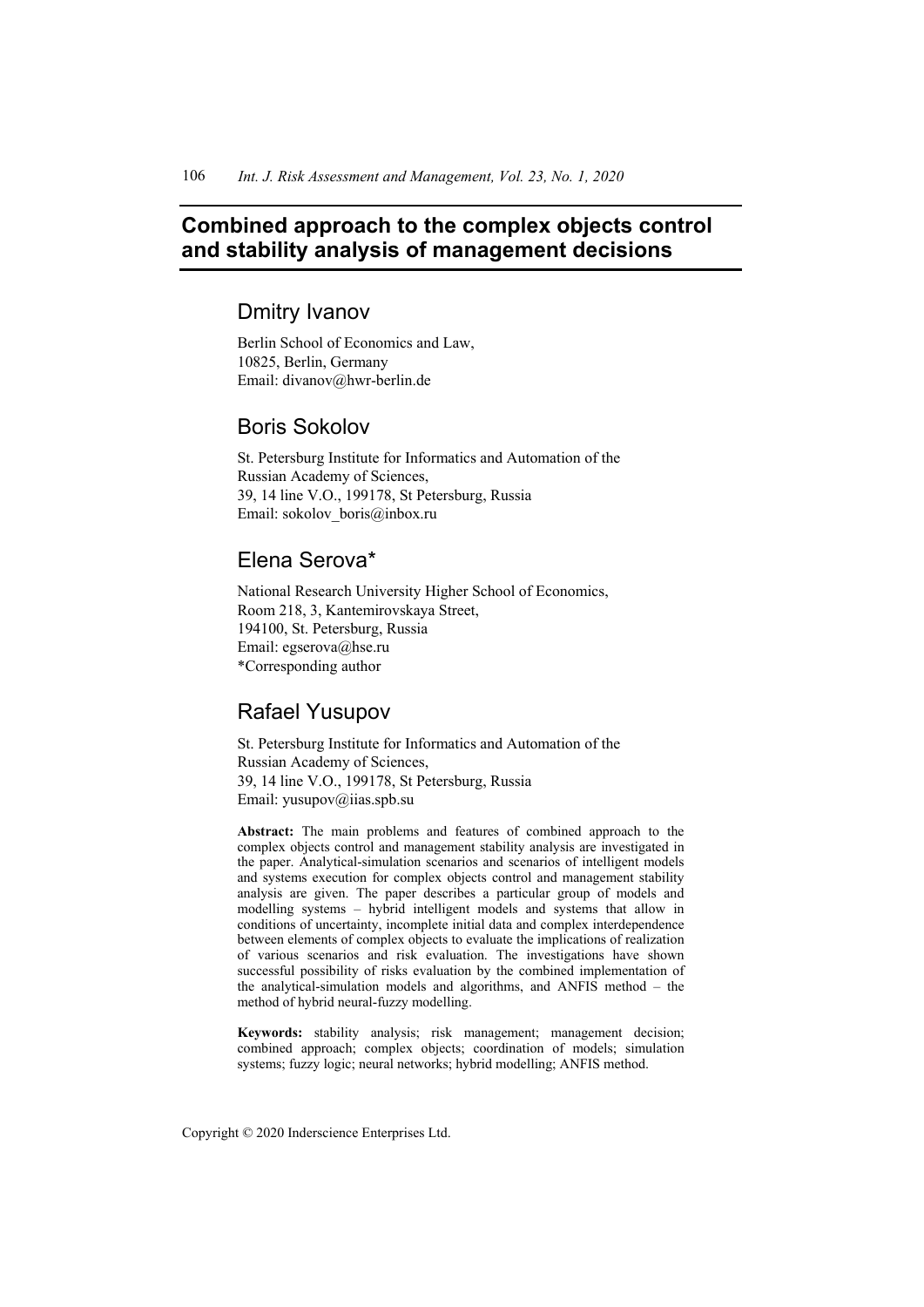# **Combined approach to the complex objects control and stability analysis of management decisions**

## Dmitry Ivanov

Berlin School of Economics and Law, 10825, Berlin, Germany Email: divanov@hwr-berlin.de

## Boris Sokolov

St. Petersburg Institute for Informatics and Automation of the Russian Academy of Sciences, 39, 14 line V.O., 199178, St Petersburg, Russia Email: sokolov\_boris@inbox.ru

# Elena Serova\*

National Research University Higher School of Economics, Room 218, 3, Kantemirovskaya Street, 194100, St. Petersburg, Russia Email: egserova@hse.ru \*Corresponding author

# Rafael Yusupov

St. Petersburg Institute for Informatics and Automation of the Russian Academy of Sciences, 39, 14 line V.O., 199178, St Petersburg, Russia Email: yusupov@iias.spb.su

**Abstract:** The main problems and features of combined approach to the complex objects control and management stability analysis are investigated in the paper. Analytical-simulation scenarios and scenarios of intelligent models and systems execution for complex objects control and management stability analysis are given. The paper describes a particular group of models and modelling systems – hybrid intelligent models and systems that allow in conditions of uncertainty, incomplete initial data and complex interdependence between elements of complex objects to evaluate the implications of realization of various scenarios and risk evaluation. The investigations have shown successful possibility of risks evaluation by the combined implementation of the analytical-simulation models and algorithms, and ANFIS method – the method of hybrid neural-fuzzy modelling.

**Keywords:** stability analysis; risk management; management decision; combined approach; complex objects; coordination of models; simulation systems; fuzzy logic; neural networks; hybrid modelling; ANFIS method.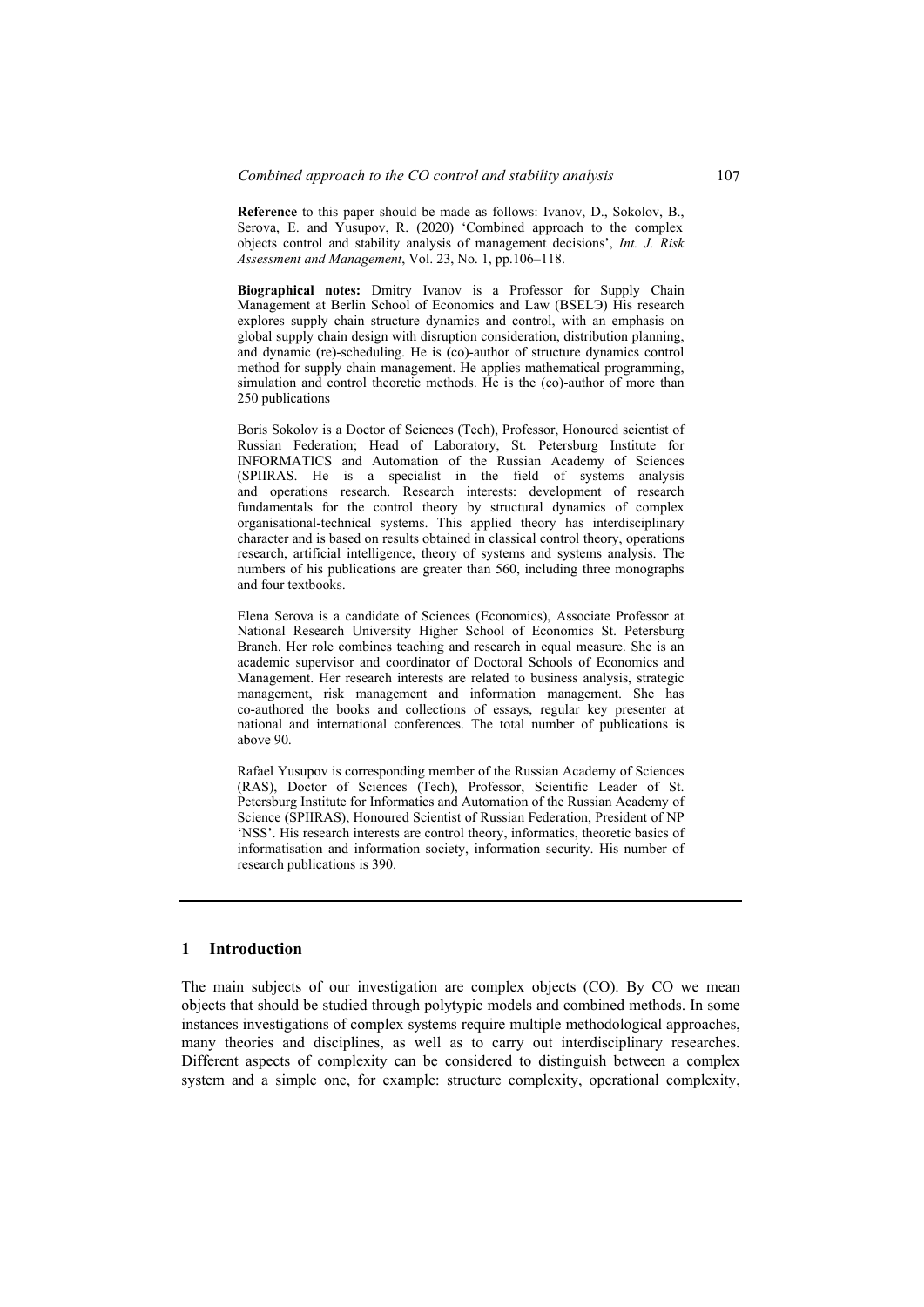**Reference** to this paper should be made as follows: Ivanov, D., Sokolov, B., Serova, E. and Yusupov, R. (2020) 'Combined approach to the complex objects control and stability analysis of management decisions', *Int. J. Risk Assessment and Management*, Vol. 23, No. 1, pp.106–118.

**Biographical notes:** Dmitry Ivanov is a Professor for Supply Chain Management at Berlin School of Economics and Law (BSELЭ) His research explores supply chain structure dynamics and control, with an emphasis on global supply chain design with disruption consideration, distribution planning, and dynamic (re)-scheduling. He is (co)-author of structure dynamics control method for supply chain management. He applies mathematical programming, simulation and control theoretic methods. He is the (co)-author of more than 250 publications

Boris Sokolov is a Doctor of Sciences (Tech), Professor, Honoured scientist of Russian Federation; Head of Laboratory, St. Petersburg Institute for INFORMATICS and Automation of the Russian Academy of Sciences (SPIIRAS. He is a specialist in the field of systems analysis and operations research. Research interests: development of research fundamentals for the control theory by structural dynamics of complex organisational-technical systems. This applied theory has interdisciplinary character and is based on results obtained in classical control theory, operations research, artificial intelligence, theory of systems and systems analysis. The numbers of his publications are greater than 560, including three monographs and four textbooks.

Elena Serova is a candidate of Sciences (Economics), Associate Professor at National Research University Higher School of Economics St. Petersburg Branch. Her role combines teaching and research in equal measure. She is an academic supervisor and coordinator of Doctoral Schools of Economics and Management. Her research interests are related to business analysis, strategic management, risk management and information management. She has co-authored the books and collections of essays, regular key presenter at national and international conferences. The total number of publications is above 90.

Rafael Yusupov is corresponding member of the Russian Academy of Sciences (RAS), Doctor of Sciences (Tech), Professor, Scientific Leader of St. Petersburg Institute for Informatics and Automation of the Russian Academy of Science (SPIIRAS), Honoured Scientist of Russian Federation, President of NP 'NSS'. His research interests are control theory, informatics, theoretic basics of informatisation and information society, information security. His number of research publications is 390.

#### **1 Introduction**

The main subjects of our investigation are complex objects (CO). By CO we mean objects that should be studied through polytypic models and combined methods. In some instances investigations of complex systems require multiple methodological approaches, many theories and disciplines, as well as to carry out interdisciplinary researches. Different aspects of complexity can be considered to distinguish between a complex system and a simple one, for example: structure complexity, operational complexity,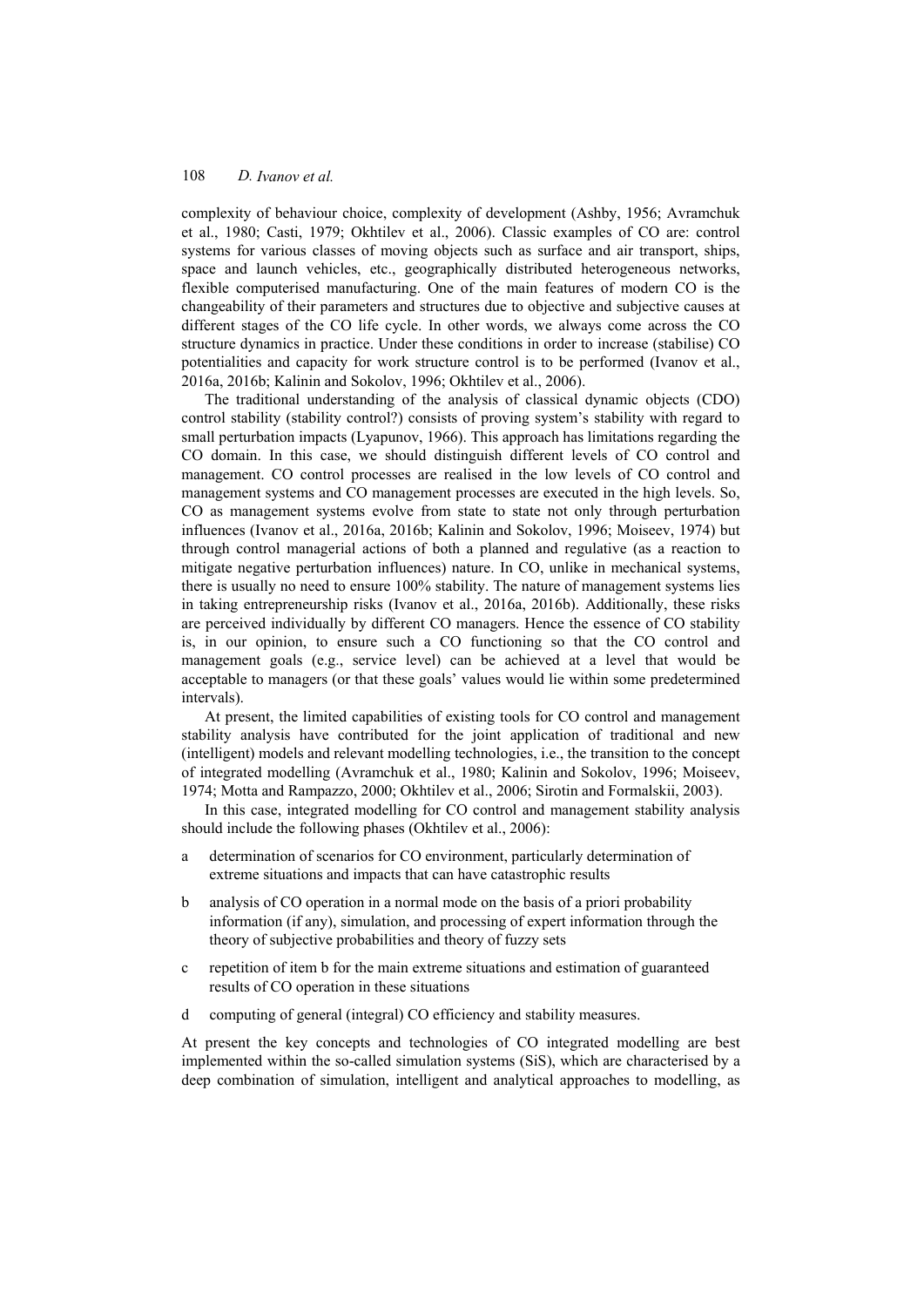complexity of behaviour choice, complexity of development (Ashby, 1956; Avramchuk et al., 1980; Casti, 1979; Okhtilev et al., 2006). Classic examples of CO are: control systems for various classes of moving objects such as surface and air transport, ships, space and launch vehicles, etc., geographically distributed heterogeneous networks, flexible computerised manufacturing. One of the main features of modern CO is the changeability of their parameters and structures due to objective and subjective causes at different stages of the CO life cycle. In other words, we always come across the CO structure dynamics in practice. Under these conditions in order to increase (stabilise) CO potentialities and capacity for work structure control is to be performed (Ivanov et al., 2016a, 2016b; Kalinin and Sokolov, 1996; Okhtilev et al., 2006).

The traditional understanding of the analysis of classical dynamic objects (CDO) control stability (stability control?) consists of proving system's stability with regard to small perturbation impacts (Lyapunov, 1966). This approach has limitations regarding the CO domain. In this case, we should distinguish different levels of CO control and management. CO control processes are realised in the low levels of CO control and management systems and CO management processes are executed in the high levels. So, CO as management systems evolve from state to state not only through perturbation influences (Ivanov et al., 2016a, 2016b; Kalinin and Sokolov, 1996; Moiseev, 1974) but through control managerial actions of both a planned and regulative (as a reaction to mitigate negative perturbation influences) nature. In CO, unlike in mechanical systems, there is usually no need to ensure 100% stability. The nature of management systems lies in taking entrepreneurship risks (Ivanov et al., 2016a, 2016b). Additionally, these risks are perceived individually by different CO managers. Hence the essence of CO stability is, in our opinion, to ensure such a CO functioning so that the CO control and management goals (e.g., service level) can be achieved at a level that would be acceptable to managers (or that these goals' values would lie within some predetermined intervals).

At present, the limited capabilities of existing tools for CO control and management stability analysis have contributed for the joint application of traditional and new (intelligent) models and relevant modelling technologies, i.e., the transition to the concept of integrated modelling (Avramchuk et al., 1980; Kalinin and Sokolov, 1996; Moiseev, 1974; Motta and Rampazzo, 2000; Okhtilev et al., 2006; Sirotin and Formalskii, 2003).

In this case, integrated modelling for CO control and management stability analysis should include the following phases (Okhtilev et al., 2006):

- a determination of scenarios for CO environment, particularly determination of extreme situations and impacts that can have catastrophic results
- b analysis of CO operation in a normal mode on the basis of a priori probability information (if any), simulation, and processing of expert information through the theory of subjective probabilities and theory of fuzzy sets
- c repetition of item b for the main extreme situations and estimation of guaranteed results of CO operation in these situations
- d computing of general (integral) CO efficiency and stability measures.

At present the key concepts and technologies of CO integrated modelling are best implemented within the so-called simulation systems (SiS), which are characterised by a deep combination of simulation, intelligent and analytical approaches to modelling, as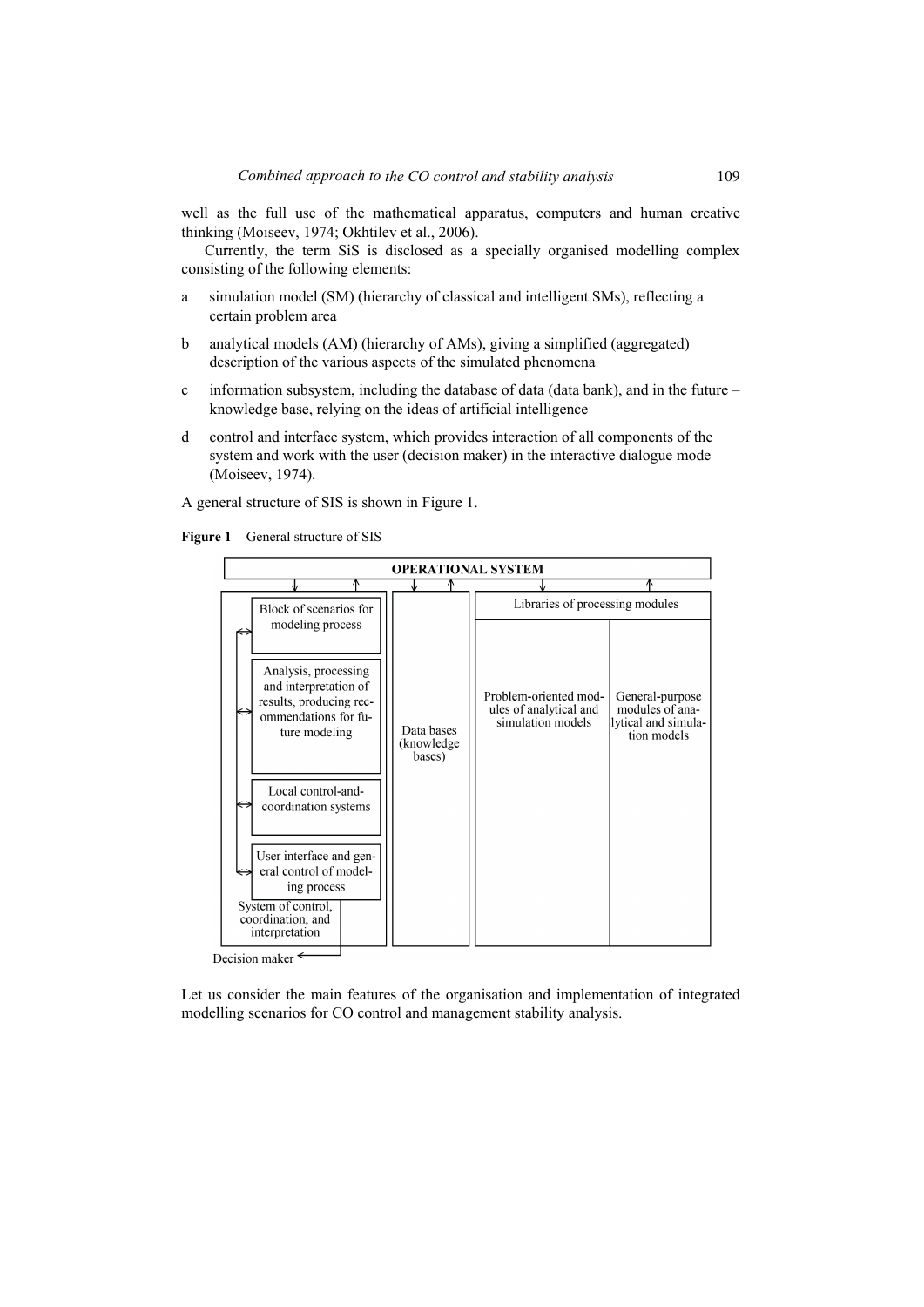well as the full use of the mathematical apparatus, computers and human creative thinking (Moiseev, 1974; Okhtilev et al., 2006).

Currently, the term SiS is disclosed as a specially organised modelling complex consisting of the following elements:

- a simulation model (SM) (hierarchy of classical and intelligent SMs), reflecting a certain problem area
- b analytical models (AM) (hierarchy of AMs), giving a simplified (aggregated) description of the various aspects of the simulated phenomena
- c information subsystem, including the database of data (data bank), and in the future knowledge base, relying on the ideas of artificial intelligence
- d control and interface system, which provides interaction of all components of the system and work with the user (decision maker) in the interactive dialogue mode (Moiseev, 1974).

A general structure of SIS is shown in Figure 1.

**Figure 1** General structure of SIS



Decision maker  $\leq$ 

Let us consider the main features of the organisation and implementation of integrated modelling scenarios for CO control and management stability analysis.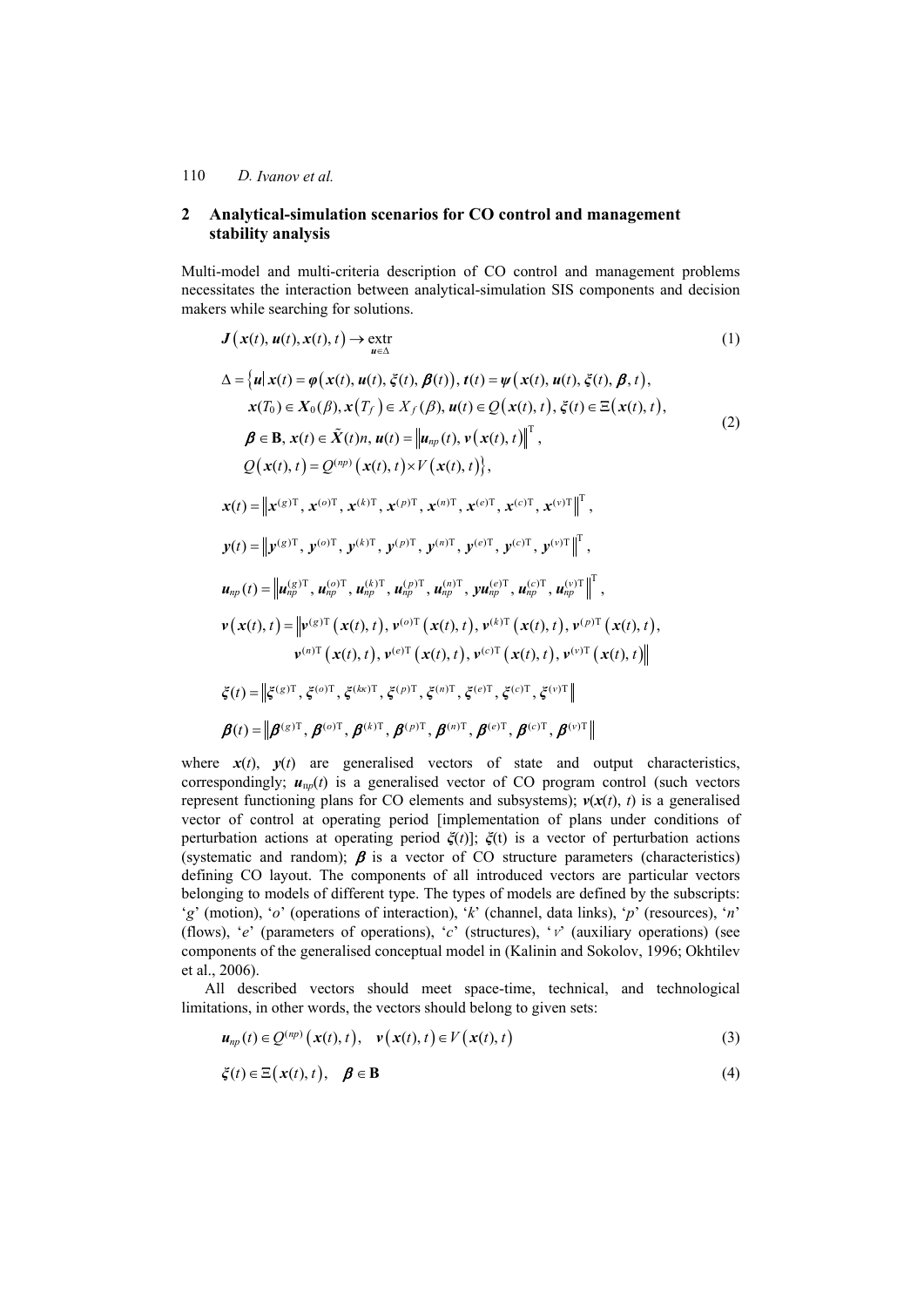## **2 Analytical-simulation scenarios for CO control and management stability analysis**

Multi-model and multi-criteria description of CO control and management problems necessitates the interaction between analytical-simulation SIS components and decision makers while searching for solutions.

$$
J(x(t), u(t), x(t), t) \rightarrow \text{extr}
$$
\n(1)  
\n
$$
\Delta = \{u | x(t) = \varphi(x(t), u(t), \xi(t), \beta(t)), t(t) = \psi(x(t), u(t), \xi(t), \beta, t),
$$
\n
$$
x(T_0) \in X_0(\beta), x(T_f) \in X_f(\beta), u(t) \in Q(x(t), t), \xi(t) \in \Xi(x(t), t),
$$
\n(2)  
\n
$$
\beta \in \mathbf{B}, x(t) \in \tilde{X}(t) n, u(t) = ||u_{np}(t), v(x(t), t)||^T,
$$
\n
$$
Q(x(t), t) = Q^{(np)}(x(t), t) \times V(x(t), t) \},
$$
\n
$$
x(t) = ||x^{(g)T}, x^{(o)T}, x^{(k)T}, x^{(p)T}, x^{(n)T}, x^{(e)T}, x^{(c)T}, x^{(v)T}||^T,
$$
\n
$$
y(t) = ||y^{(g)T}, y^{(o)T}, y^{(k)T}, y^{(p)T}, y^{(n)T}, y^{(e)T}, y^{(c)T}, y^{(v)T}||^T,
$$
\n
$$
u_{np}(t) = ||u_{np}^{(g)T}, u_{np}^{(o)T}, u_{np}^{(k)T}, u_{np}^{(p)T}, u_{np}^{(n)T}, y_{np}^{(e)T}, u_{np}^{(c)T}, u_{np}^{(c)T}||^T,
$$
\n
$$
v(x(t), t) = ||v^{(g)T}(x(t), t), v^{(o)T}(x(t), t), v^{(k)T}(x(t), t), v^{(p)T}(x(t), t),
$$
\n
$$
v^{(n)T}(x(t), t), v^{(e)T}(x(t), t), v^{(c)T}(x(t), t), v^{(v)T}(x(t), t) ||^T,
$$
\n
$$
\xi(t) = ||\xi^{(g)T}, \xi^{(o)T}, \xi^{(k)T}, \xi^{(p)T}, \xi^{(n)T}, \xi^{(c)T}, \xi^{(c)T}, \xi^{(v)T}||
$$
\n
$$
\beta(t) = ||\beta^{(g)T}, \beta^{(o)T}, \beta^{(k)T}, \beta^{(p)T}, \beta^{(n)T}, \beta^{(c)T}, \beta^{
$$

where  $x(t)$ ,  $y(t)$  are generalised vectors of state and output characteristics, correspondingly;  $u_{nn}(t)$  is a generalised vector of CO program control (such vectors represent functioning plans for CO elements and subsystems);  $v(x(t), t)$  is a generalised vector of control at operating period [implementation of plans under conditions of perturbation actions at operating period *ξ*(*t*)]; *ξ*(t) is a vector of perturbation actions (systematic and random);  $\beta$  is a vector of CO structure parameters (characteristics) defining CO layout. The components of all introduced vectors are particular vectors belonging to models of different type. The types of models are defined by the subscripts: '*g*' (motion), '*o*' (operations of interaction), '*k*' (channel, data links), '*p*' (resources), '*n*' (flows), '*e*' (parameters of operations), '*c*' (structures), 'v' (auxiliary operations) (see components of the generalised conceptual model in (Kalinin and Sokolov, 1996; Okhtilev et al., 2006).

All described vectors should meet space-time, technical, and technological limitations, in other words, the vectors should belong to given sets:

$$
\boldsymbol{u}_{np}(t) \in Q^{(np)}(\boldsymbol{x}(t), t), \quad \boldsymbol{v}(\boldsymbol{x}(t), t) \in V(\boldsymbol{x}(t), t)
$$
\n(3)

$$
\xi(t) \in \Xi\big(\mathbf{x}(t), t\big), \quad \boldsymbol{\beta} \in \mathbf{B} \tag{4}
$$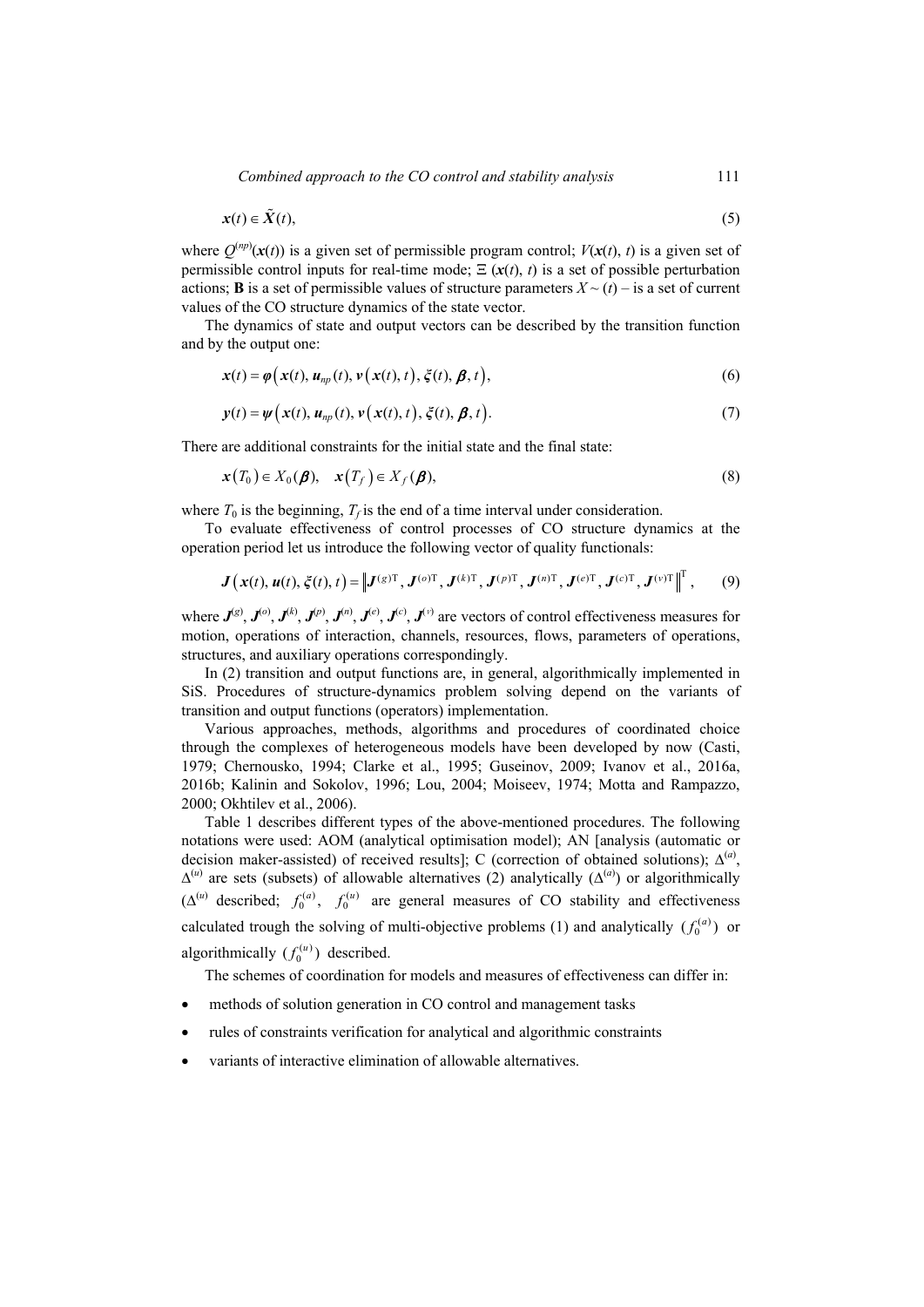$$
\mathbf{x}(t) \in \tilde{\mathbf{X}}(t),\tag{5}
$$

where  $Q^{(np)}(\mathbf{x}(t))$  is a given set of permissible program control;  $V(\mathbf{x}(t), t)$  is a given set of permissible control inputs for real-time mode;  $\Xi$  ( $\mathbf{x}(t)$ , t) is a set of possible perturbation actions; **B** is a set of permissible values of structure parameters  $X \sim (t) -$  is a set of current values of the CO structure dynamics of the state vector.

The dynamics of state and output vectors can be described by the transition function and by the output one:

$$
\mathbf{x}(t) = \boldsymbol{\varphi}\big(\mathbf{x}(t), \boldsymbol{u}_{np}(t), \boldsymbol{v}\big(\mathbf{x}(t), t\big), \boldsymbol{\xi}(t), \boldsymbol{\beta}, t\big),\tag{6}
$$

$$
\mathbf{y}(t) = \mathbf{\psi}\big(\mathbf{x}(t), \mathbf{u}_{np}(t), \mathbf{v}\big(\mathbf{x}(t), t\big), \xi(t), \boldsymbol{\beta}, t\big). \tag{7}
$$

There are additional constraints for the initial state and the final state:

$$
\mathbf{x}(T_0) \in X_0(\boldsymbol{\beta}), \quad \mathbf{x}(T_f) \in X_f(\boldsymbol{\beta}), \tag{8}
$$

where  $T_0$  is the beginning,  $T_f$  is the end of a time interval under consideration.

To evaluate effectiveness of control processes of CO structure dynamics at the operation period let us introduce the following vector of quality functionals:

$$
\boldsymbol{J}\big(\boldsymbol{x}(t),\boldsymbol{u}(t),\boldsymbol{\xi}(t),t\big) = \big\|\boldsymbol{J}^{(g)\mathrm{T}},\boldsymbol{J}^{(o)\mathrm{T}},\boldsymbol{J}^{(k)\mathrm{T}},\boldsymbol{J}^{(p)\mathrm{T}},\boldsymbol{J}^{(n)\mathrm{T}},\boldsymbol{J}^{(e)\mathrm{T}},\boldsymbol{J}^{(c)\mathrm{T}},\boldsymbol{J}^{(v)\mathrm{T}}\big\|^{\mathrm{T}},\qquad(9)
$$

where  $J^{(g)}$ ,  $J^{(o)}$ ,  $J^{(k)}$ ,  $J^{(p)}$ ,  $J^{(n)}$ ,  $J^{(e)}$ ,  $J^{(v)}$  are vectors of control effectiveness measures for motion, operations of interaction, channels, resources, flows, parameters of operations, structures, and auxiliary operations correspondingly.

In (2) transition and output functions are, in general, algorithmically implemented in SiS. Procedures of structure-dynamics problem solving depend on the variants of transition and output functions (operators) implementation.

Various approaches, methods, algorithms and procedures of coordinated choice through the complexes of heterogeneous models have been developed by now (Casti, 1979; Chernousko, 1994; Clarke et al., 1995; Guseinov, 2009; Ivanov et al., 2016a, 2016b; Kalinin and Sokolov, 1996; Lou, 2004; Moiseev, 1974; Motta and Rampazzo, 2000; Okhtilev et al., 2006).

Table 1 describes different types of the above-mentioned procedures. The following notations were used: AOM (analytical optimisation model); AN [analysis (automatic or decision maker-assisted) of received results]; C (correction of obtained solutions);  $\Delta^{(a)}$ ,  $\Delta^{(u)}$  are sets (subsets) of allowable alternatives (2) analytically ( $\Delta^{(a)}$ ) or algorithmically  $(\Delta^{(u)}$  described;  $f_0^{(a)}$ ,  $f_0^{(u)}$  are general measures of CO stability and effectiveness calculated trough the solving of multi-objective problems (1) and analytically  $(f_0^{(a)})$  or algorithmically  $(f_0^{(u)})$  described.

The schemes of coordination for models and measures of effectiveness can differ in:

- methods of solution generation in CO control and management tasks
- rules of constraints verification for analytical and algorithmic constraints
- variants of interactive elimination of allowable alternatives.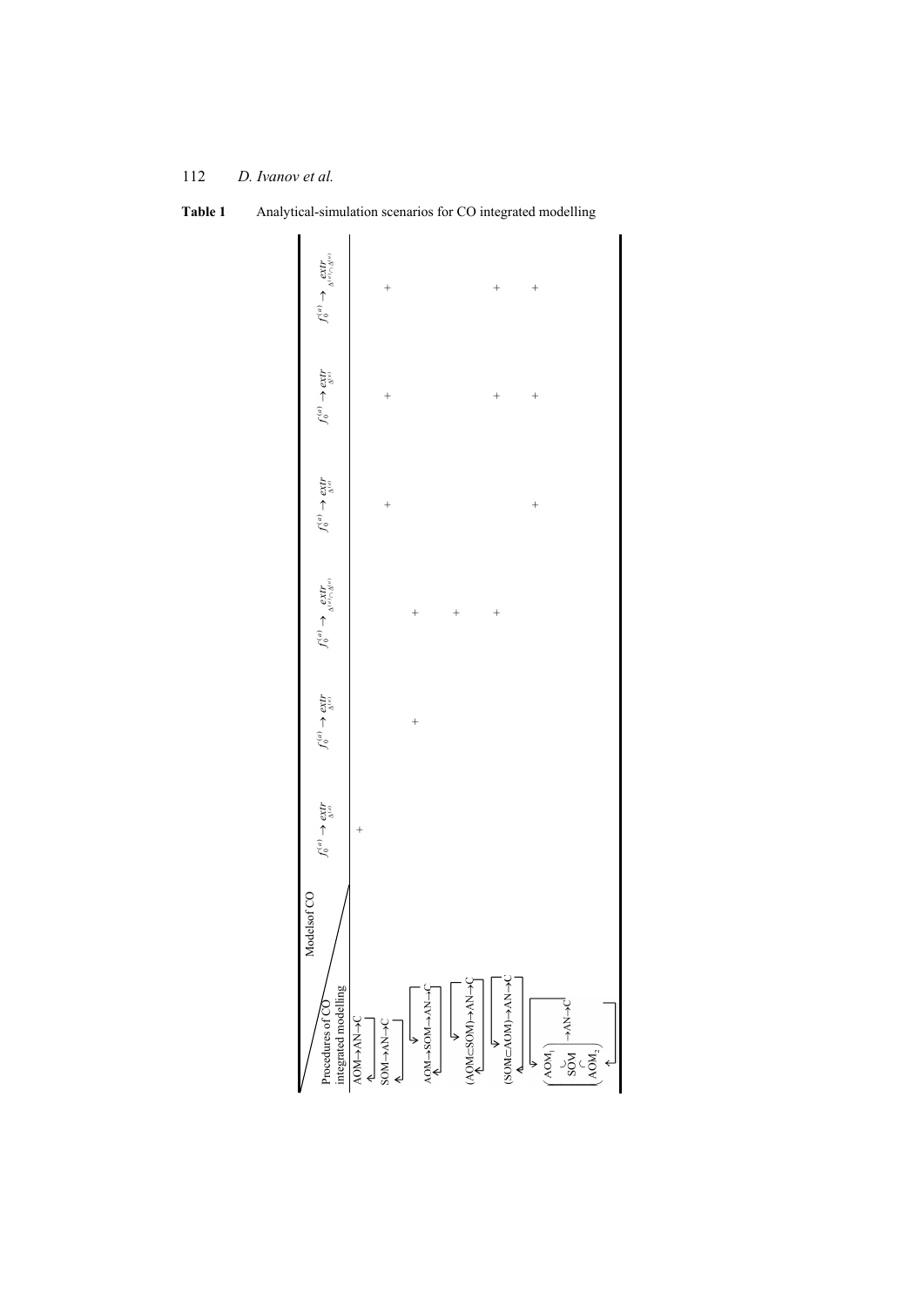**Table 1** Analytical-simulation scenarios for CO integrated modelling

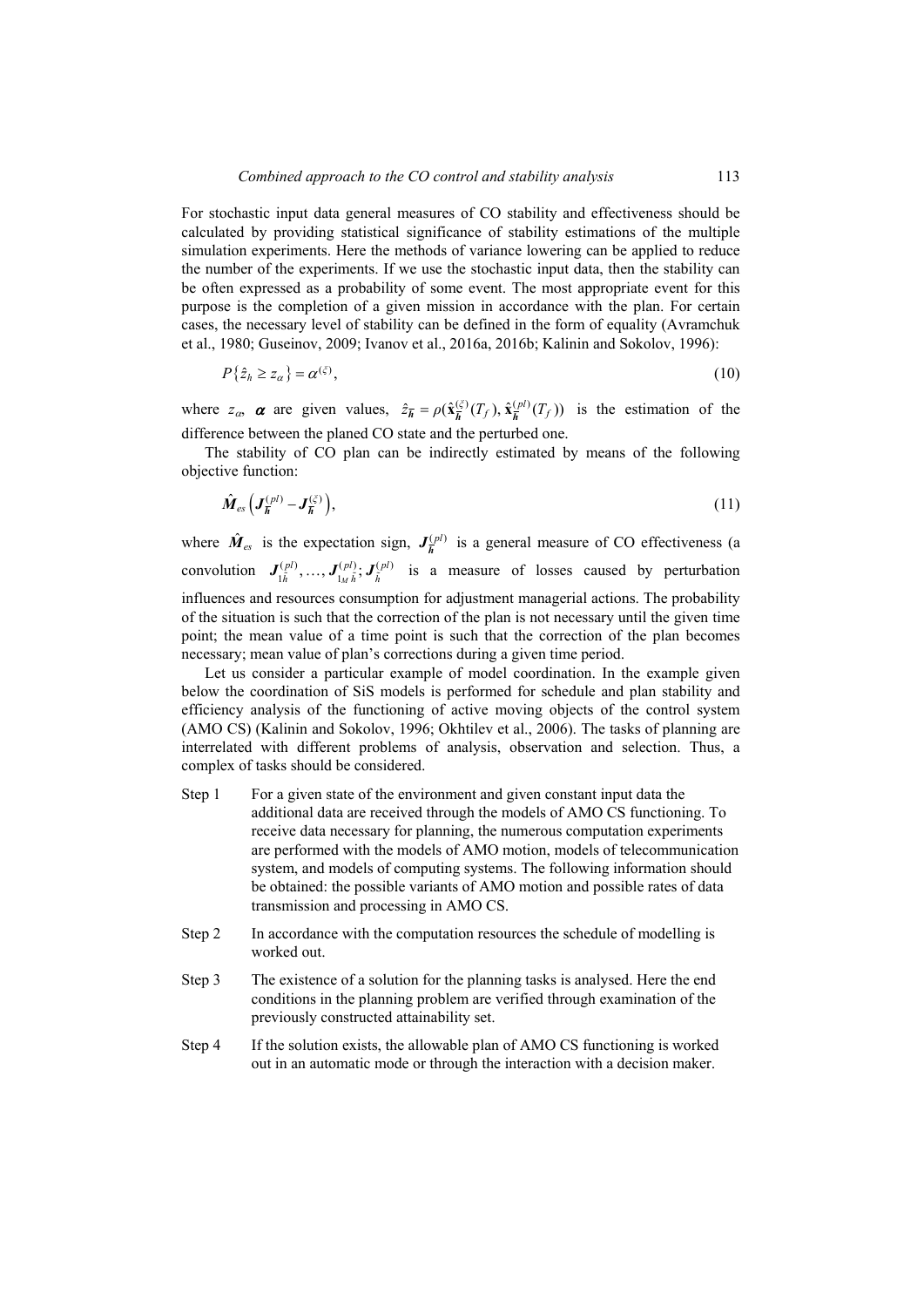For stochastic input data general measures of CO stability and effectiveness should be calculated by providing statistical significance of stability estimations of the multiple simulation experiments. Here the methods of variance lowering can be applied to reduce the number of the experiments. If we use the stochastic input data, then the stability can be often expressed as a probability of some event. The most appropriate event for this purpose is the completion of a given mission in accordance with the plan. For certain cases, the necessary level of stability can be defined in the form of equality (Avramchuk et al., 1980; Guseinov, 2009; Ivanov et al., 2016a, 2016b; Kalinin and Sokolov, 1996):

$$
P\{\hat{z}_h \ge z_\alpha\} = \alpha^{(\xi)},\tag{10}
$$

where  $z_\alpha$ ,  $\alpha$  are given values,  $\hat{z}_{\overline{h}} = \rho(\hat{\mathbf{x}}_{\overline{h}}^{(\xi)}(T_f), \hat{\mathbf{x}}_{\overline{h}}^{(pl)}(T_f))$  is the estimation of the difference between the planed CO state and the perturbed one.

The stability of CO plan can be indirectly estimated by means of the following objective function:

$$
\hat{\boldsymbol{M}}_{es}\left(\boldsymbol{J}_{\overline{h}}^{(pl)}-\boldsymbol{J}_{\overline{h}}^{(\xi)}\right),\tag{11}
$$

where  $\hat{M}_{es}$  is the expectation sign,  $J_{\bar{h}}^{(pl)}$  is a general measure of CO effectiveness (a convolution  $J_{1\tilde{h}}^{(pl)},..., J_{1\tilde{h}}^{(pl)}$ ;  $J_{\tilde{h}}^{(pl)}$  is a measure of losses caused by perturbation influences and resources consumption for adjustment managerial actions. The probability of the situation is such that the correction of the plan is not necessary until the given time point; the mean value of a time point is such that the correction of the plan becomes necessary; mean value of plan's corrections during a given time period.

Let us consider a particular example of model coordination. In the example given below the coordination of SiS models is performed for schedule and plan stability and efficiency analysis of the functioning of active moving objects of the control system (AMO CS) (Kalinin and Sokolov, 1996; Okhtilev et al., 2006). The tasks of planning are interrelated with different problems of analysis, observation and selection. Thus, a complex of tasks should be considered.

- Step 1 For a given state of the environment and given constant input data the additional data are received through the models of AMO CS functioning. To receive data necessary for planning, the numerous computation experiments are performed with the models of AMO motion, models of telecommunication system, and models of computing systems. The following information should be obtained: the possible variants of AMO motion and possible rates of data transmission and processing in AMO CS.
- Step 2 In accordance with the computation resources the schedule of modelling is worked out.
- Step 3 The existence of a solution for the planning tasks is analysed. Here the end conditions in the planning problem are verified through examination of the previously constructed attainability set.
- Step 4 If the solution exists, the allowable plan of AMO CS functioning is worked out in an automatic mode or through the interaction with a decision maker.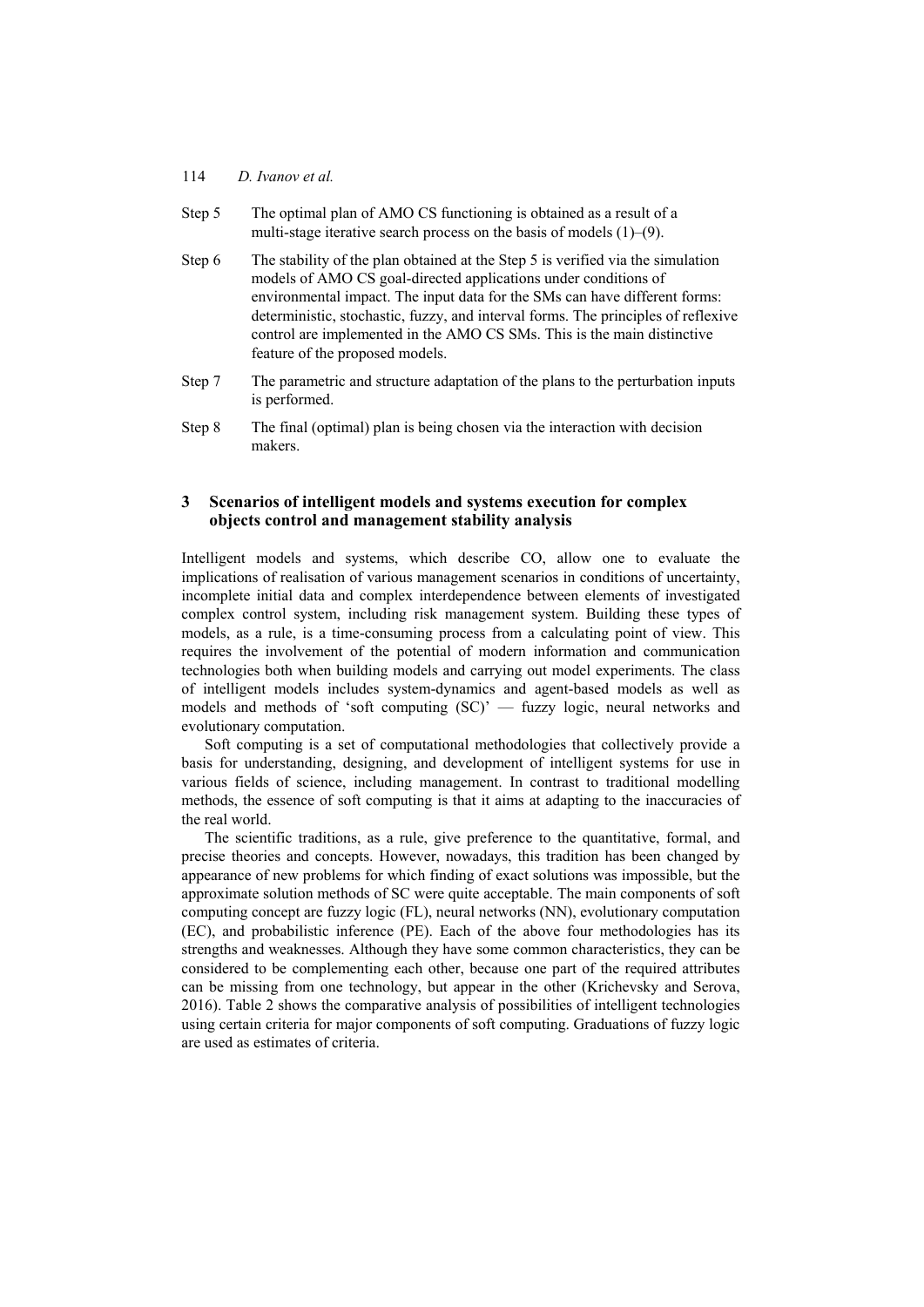- 114 *D. Ivanov et al.*
- Step 5 The optimal plan of AMO CS functioning is obtained as a result of a multi-stage iterative search process on the basis of models (1)–(9).
- Step 6 The stability of the plan obtained at the Step 5 is verified via the simulation models of AMO CS goal-directed applications under conditions of environmental impact. The input data for the SMs can have different forms: deterministic, stochastic, fuzzy, and interval forms. The principles of reflexive control are implemented in the AMO CS SMs. This is the main distinctive feature of the proposed models.
- Step 7 The parametric and structure adaptation of the plans to the perturbation inputs is performed.
- Step 8 The final (optimal) plan is being chosen via the interaction with decision makers.

#### **3 Scenarios of intelligent models and systems execution for complex objects control and management stability analysis**

Intelligent models and systems, which describe CO, allow one to evaluate the implications of realisation of various management scenarios in conditions of uncertainty, incomplete initial data and complex interdependence between elements of investigated complex control system, including risk management system. Building these types of models, as a rule, is a time-consuming process from a calculating point of view. This requires the involvement of the potential of modern information and communication technologies both when building models and carrying out model experiments. The class of intelligent models includes system-dynamics and agent-based models as well as models and methods of 'soft computing (SC)' — fuzzy logic, neural networks and evolutionary computation.

Soft computing is a set of computational methodologies that collectively provide a basis for understanding, designing, and development of intelligent systems for use in various fields of science, including management. In contrast to traditional modelling methods, the essence of soft computing is that it aims at adapting to the inaccuracies of the real world.

The scientific traditions, as a rule, give preference to the quantitative, formal, and precise theories and concepts. However, nowadays, this tradition has been changed by appearance of new problems for which finding of exact solutions was impossible, but the approximate solution methods of SC were quite acceptable. The main components of soft computing concept are fuzzy logic (FL), neural networks (NN), evolutionary computation (EC), and probabilistic inference (PE). Each of the above four methodologies has its strengths and weaknesses. Although they have some common characteristics, they can be considered to be complementing each other, because one part of the required attributes can be missing from one technology, but appear in the other (Krichevsky and Serova, 2016). Table 2 shows the comparative analysis of possibilities of intelligent technologies using certain criteria for major components of soft computing. Graduations of fuzzy logic are used as estimates of criteria.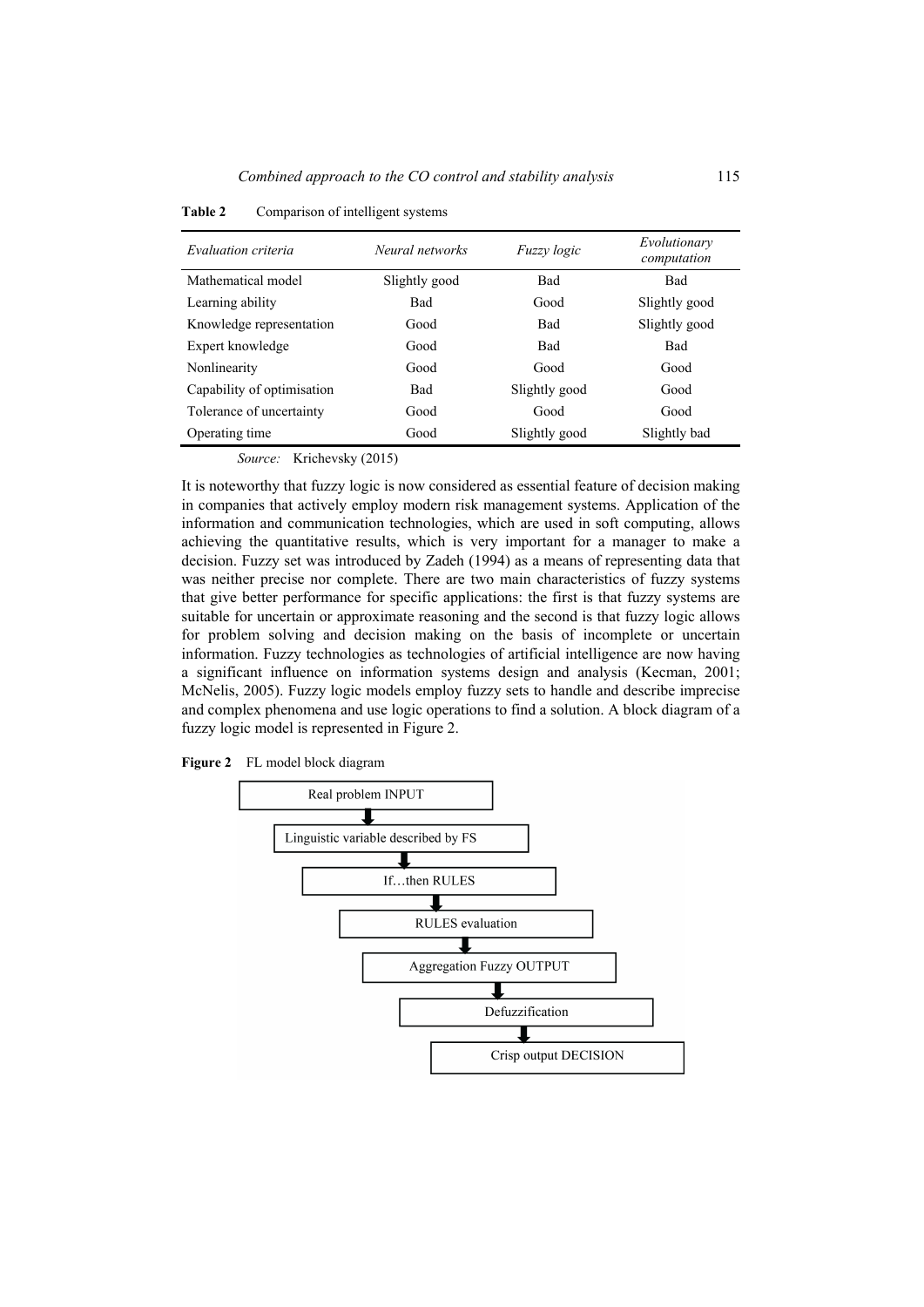| Evaluation criteria        | Neural networks | <i>Fuzzy logic</i> | Evolutionary<br>computation |
|----------------------------|-----------------|--------------------|-----------------------------|
| Mathematical model         | Slightly good   | <b>Bad</b>         | <b>Bad</b>                  |
| Learning ability           | <b>Bad</b>      | Good               | Slightly good               |
| Knowledge representation   | Good            | <b>Bad</b>         | Slightly good               |
| Expert knowledge           | Good            | <b>Bad</b>         | <b>Bad</b>                  |
| Nonlinearity               | Good            | Good               | Good                        |
| Capability of optimisation | <b>Bad</b>      | Slightly good      | Good                        |
| Tolerance of uncertainty   | Good            | Good               | Good                        |
| Operating time             | Good            | Slightly good      | Slightly bad                |

**Table 2** Comparison of intelligent systems

*Source:* Krichevsky (2015)

It is noteworthy that fuzzy logic is now considered as essential feature of decision making in companies that actively employ modern risk management systems. Application of the information and communication technologies, which are used in soft computing, allows achieving the quantitative results, which is very important for a manager to make a decision. Fuzzy set was introduced by Zadeh (1994) as a means of representing data that was neither precise nor complete. There are two main characteristics of fuzzy systems that give better performance for specific applications: the first is that fuzzy systems are suitable for uncertain or approximate reasoning and the second is that fuzzy logic allows for problem solving and decision making on the basis of incomplete or uncertain information. Fuzzy technologies as technologies of artificial intelligence are now having a significant influence on information systems design and analysis (Kecman, 2001; McNelis, 2005). Fuzzy logic models employ fuzzy sets to handle and describe imprecise and complex phenomena and use logic operations to find a solution. A block diagram of a fuzzy logic model is represented in Figure 2.



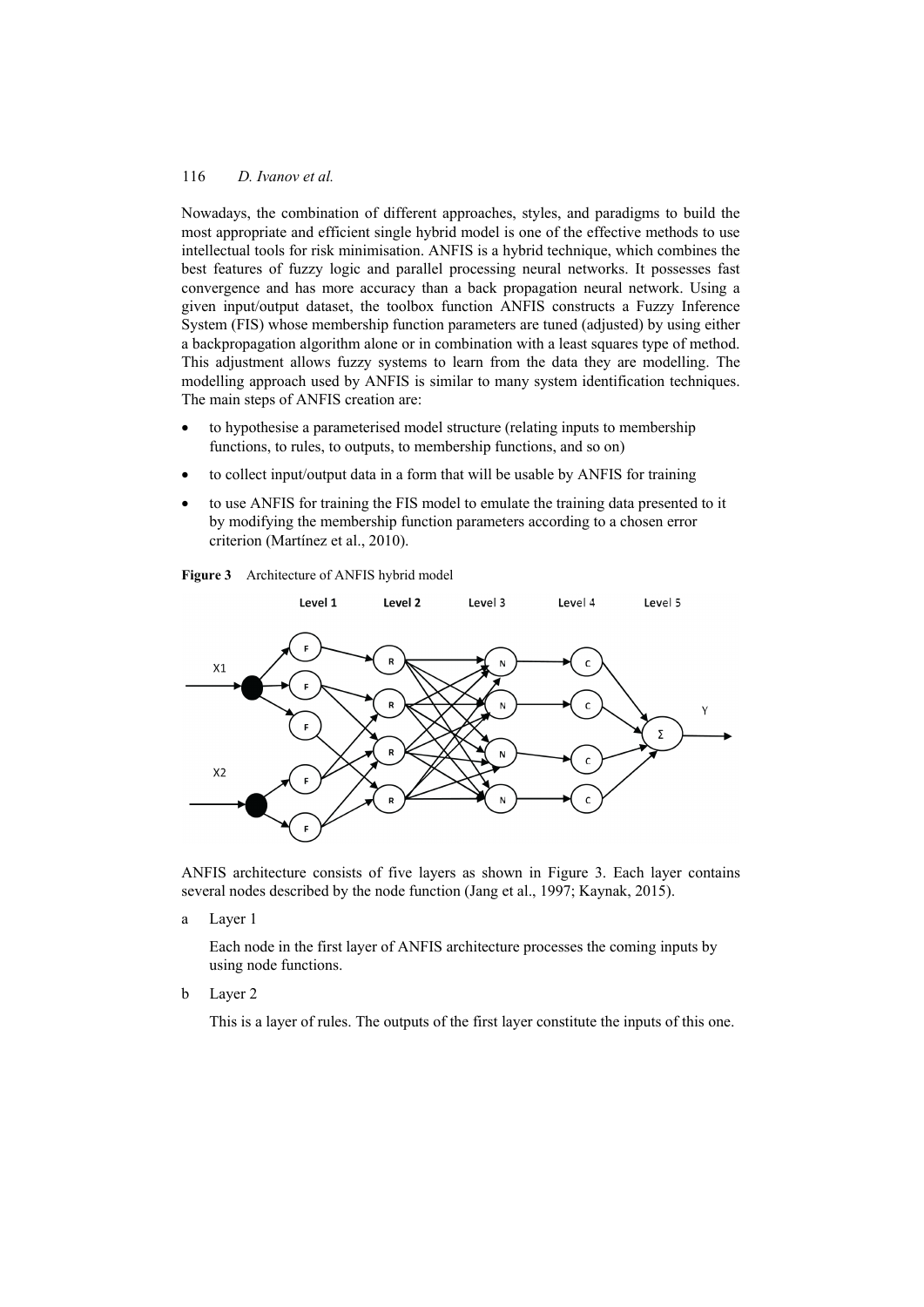Nowadays, the combination of different approaches, styles, and paradigms to build the most appropriate and efficient single hybrid model is one of the effective methods to use intellectual tools for risk minimisation. ANFIS is a hybrid technique, which combines the best features of fuzzy logic and parallel processing neural networks. It possesses fast convergence and has more accuracy than a back propagation neural network. Using a given input/output dataset, the toolbox function ANFIS constructs a Fuzzy Inference System (FIS) whose membership function parameters are tuned (adjusted) by using either a backpropagation algorithm alone or in combination with a least squares type of method. This adjustment allows fuzzy systems to learn from the data they are modelling. The modelling approach used by ANFIS is similar to many system identification techniques. The main steps of ANFIS creation are:

- to hypothesise a parameterised model structure (relating inputs to membership functions, to rules, to outputs, to membership functions, and so on)
- to collect input/output data in a form that will be usable by ANFIS for training
- to use ANFIS for training the FIS model to emulate the training data presented to it by modifying the membership function parameters according to a chosen error criterion (Martínez et al., 2010).



**Figure 3** Architecture of ANFIS hybrid model

ANFIS architecture consists of five layers as shown in Figure 3. Each layer contains several nodes described by the node function (Jang et al., 1997; Kaynak, 2015).

a Layer 1

Each node in the first layer of ANFIS architecture processes the coming inputs by using node functions.

b Layer 2

This is a layer of rules. The outputs of the first layer constitute the inputs of this one.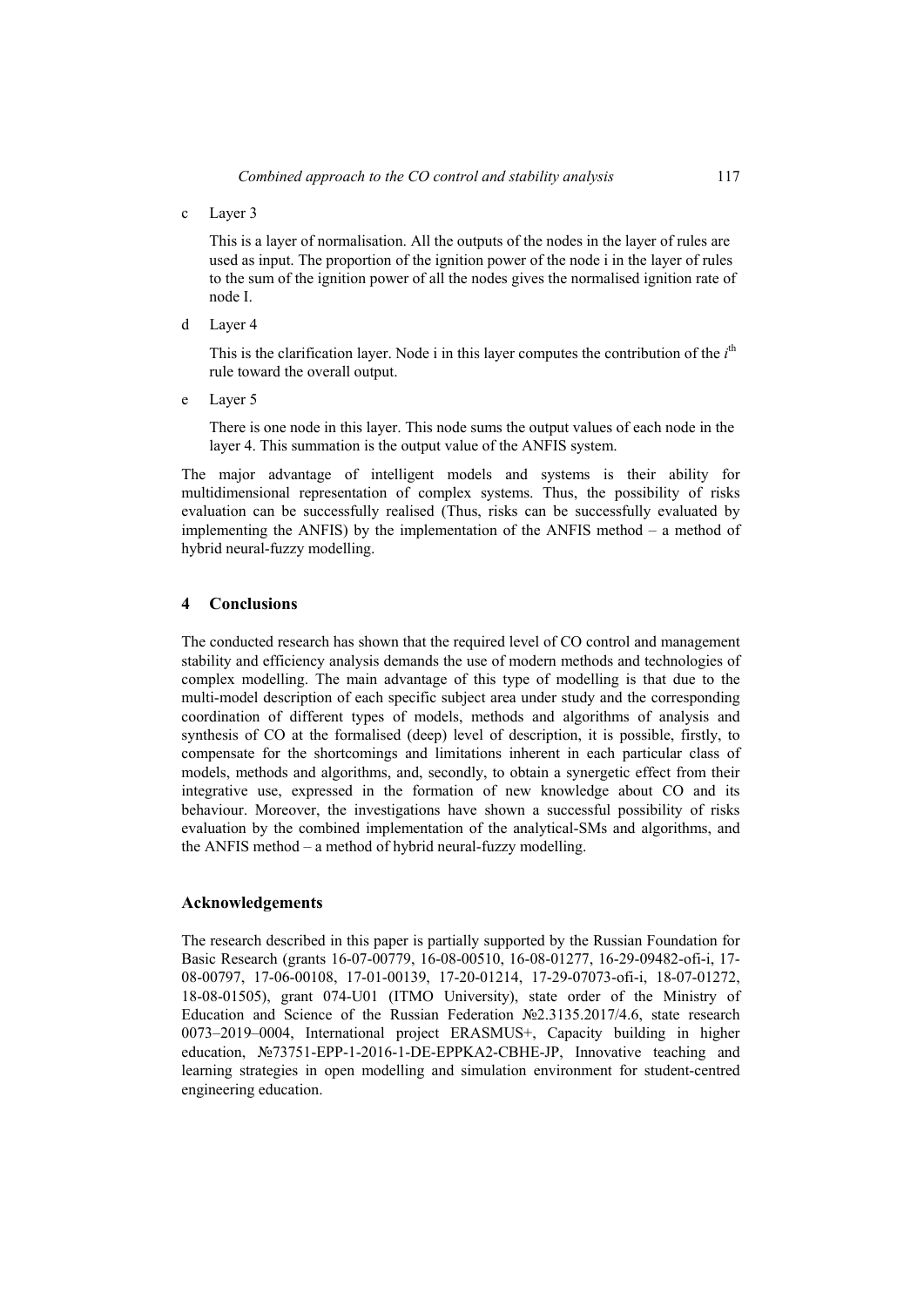c Layer 3

This is a layer of normalisation. All the outputs of the nodes in the layer of rules are used as input. The proportion of the ignition power of the node i in the layer of rules to the sum of the ignition power of all the nodes gives the normalised ignition rate of node I.

d Layer 4

This is the clarification layer. Node  $i$  in this layer computes the contribution of the  $i<sup>th</sup>$ rule toward the overall output.

e Layer 5

There is one node in this layer. This node sums the output values of each node in the layer 4. This summation is the output value of the ANFIS system.

The major advantage of intelligent models and systems is their ability for multidimensional representation of complex systems. Thus, the possibility of risks evaluation can be successfully realised (Thus, risks can be successfully evaluated by implementing the ANFIS) by the implementation of the ANFIS method – a method of hybrid neural-fuzzy modelling.

#### **4 Conclusions**

The conducted research has shown that the required level of CO control and management stability and efficiency analysis demands the use of modern methods and technologies of complex modelling. The main advantage of this type of modelling is that due to the multi-model description of each specific subject area under study and the corresponding coordination of different types of models, methods and algorithms of analysis and synthesis of CO at the formalised (deep) level of description, it is possible, firstly, to compensate for the shortcomings and limitations inherent in each particular class of models, methods and algorithms, and, secondly, to obtain a synergetic effect from their integrative use, expressed in the formation of new knowledge about CO and its behaviour. Moreover, the investigations have shown a successful possibility of risks evaluation by the combined implementation of the analytical-SMs and algorithms, and the ANFIS method – a method of hybrid neural-fuzzy modelling.

### **Acknowledgements**

The research described in this paper is partially supported by the Russian Foundation for Basic Research (grants 16-07-00779, 16-08-00510, 16-08-01277, 16-29-09482-оfi-i, 17- 08-00797, 17-06-00108, 17-01-00139, 17-20-01214, 17-29-07073-оfi-i, 18-07-01272, 18-08-01505), grant 074-U01 (ITMO University), state order of the Ministry of Education and Science of the Russian Federation №2.3135.2017/4.6, state research 0073–2019–0004, International project ERASMUS+, Capacity building in higher education, №73751-EPP-1-2016-1-DE-EPPKA2-CBHE-JP, Innovative teaching and learning strategies in open modelling and simulation environment for student-centred engineering education.